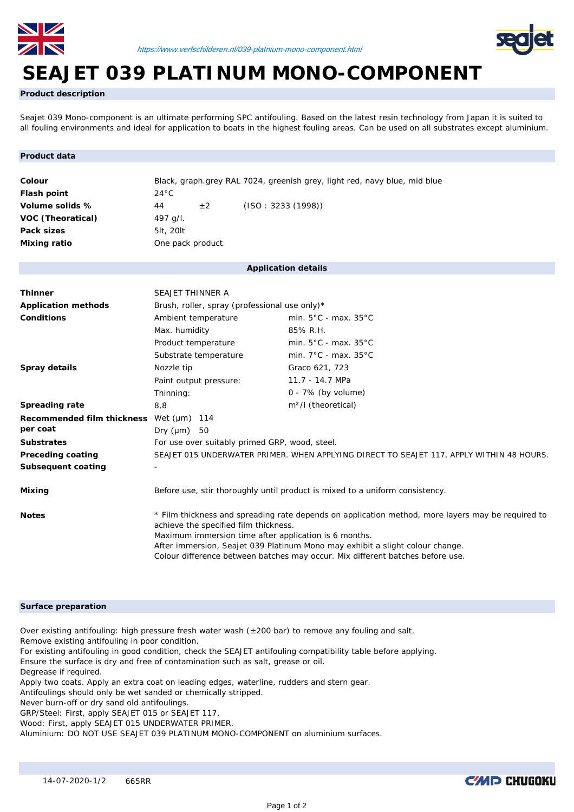



# **SEAJET 039 PLATINUM MONO-COMPONENT**

**Product description**

Seajet 039 Mono-component is an ultimate performing SPC antifouling. Based on the latest resin technology from Japan it is suited to all fouling environments and ideal for application to boats in the highest fouling areas. Can be used on all substrates except aluminium.

# **Product data**

| Colour                   | Black, graph.grey RAL 7024, greenish grey, light red, navy blue, mid blue |         |                    |  |  |  |  |
|--------------------------|---------------------------------------------------------------------------|---------|--------------------|--|--|--|--|
| Flash point              | $24^{\circ}$ C                                                            |         |                    |  |  |  |  |
| Volume solids %          | 44                                                                        | $\pm 2$ | (ISO: 3233 (1998)) |  |  |  |  |
| <b>VOC (Theoratical)</b> | 497 g/l.                                                                  |         |                    |  |  |  |  |
| Pack sizes               | 5lt, 20lt                                                                 |         |                    |  |  |  |  |
| Mixing ratio             | One pack product                                                          |         |                    |  |  |  |  |

## **Application details**

| <b>Thinner</b>             | SEAJET THINNER A                                                                                                                                                                                                                                                                                                                                                       |                                          |  |  |  |  |
|----------------------------|------------------------------------------------------------------------------------------------------------------------------------------------------------------------------------------------------------------------------------------------------------------------------------------------------------------------------------------------------------------------|------------------------------------------|--|--|--|--|
| <b>Application methods</b> | Brush, roller, spray (professional use only)*                                                                                                                                                                                                                                                                                                                          |                                          |  |  |  |  |
| Conditions                 | Ambient temperature                                                                                                                                                                                                                                                                                                                                                    | min. $5^{\circ}$ C - max. $35^{\circ}$ C |  |  |  |  |
|                            | Max. humidity                                                                                                                                                                                                                                                                                                                                                          | 85% R.H.                                 |  |  |  |  |
|                            | Product temperature                                                                                                                                                                                                                                                                                                                                                    | min. $5^{\circ}$ C - max. $35^{\circ}$ C |  |  |  |  |
|                            | Substrate temperature                                                                                                                                                                                                                                                                                                                                                  | min. $7^{\circ}$ C - max. $35^{\circ}$ C |  |  |  |  |
| Spray details              | Nozzle tip                                                                                                                                                                                                                                                                                                                                                             | Graco 621, 723                           |  |  |  |  |
|                            | Paint output pressure:                                                                                                                                                                                                                                                                                                                                                 | 11.7 - 14.7 MPa                          |  |  |  |  |
|                            | Thinning:                                                                                                                                                                                                                                                                                                                                                              | $0 - 7\%$ (by volume)                    |  |  |  |  |
| <b>Spreading rate</b>      | 8,8                                                                                                                                                                                                                                                                                                                                                                    | m <sup>2</sup> /l (theoretical)          |  |  |  |  |
| Recommended film thickness | Wet $(\mu m)$ 114                                                                                                                                                                                                                                                                                                                                                      |                                          |  |  |  |  |
| per coat                   | Dry (µm)<br>50                                                                                                                                                                                                                                                                                                                                                         |                                          |  |  |  |  |
| <b>Substrates</b>          | For use over suitably primed GRP, wood, steel.                                                                                                                                                                                                                                                                                                                         |                                          |  |  |  |  |
| Preceding coating          | SEAJET 015 UNDERWATER PRIMER. WHEN APPLYING DIRECT TO SEAJET 117, APPLY WITHIN 48 HOURS.                                                                                                                                                                                                                                                                               |                                          |  |  |  |  |
| Subsequent coating         |                                                                                                                                                                                                                                                                                                                                                                        |                                          |  |  |  |  |
| Mixing                     | Before use, stir thoroughly until product is mixed to a uniform consistency.                                                                                                                                                                                                                                                                                           |                                          |  |  |  |  |
| <b>Notes</b>               | * Film thickness and spreading rate depends on application method, more layers may be required to<br>achieve the specified film thickness.<br>Maximum immersion time after application is 6 months.<br>After immersion, Seajet 039 Platinum Mono may exhibit a slight colour change.<br>Colour difference between batches may occur. Mix different batches before use. |                                          |  |  |  |  |

# **Surface preparation**

Over existing antifouling: high pressure fresh water wash ( $\pm$ 200 bar) to remove any fouling and salt.

Remove existing antifouling in poor condition.

For existing antifouling in good condition, check the SEAJET antifouling compatibility table before applying. Ensure the surface is dry and free of contamination such as salt, grease or oil.

Degrease if required.

Apply two coats. Apply an extra coat on leading edges, waterline, rudders and stern gear.

Antifoulings should only be wet sanded or chemically stripped.

Never burn-off or dry sand old antifoulings.

GRP/Steel: First, apply SEAJET 015 or SEAJET 117.

Wood: First, apply SEAJET 015 UNDERWATER PRIMER.

Aluminium: DO NOT USE SEAJET 039 PLATINUM MONO-COMPONENT on aluminium surfaces.